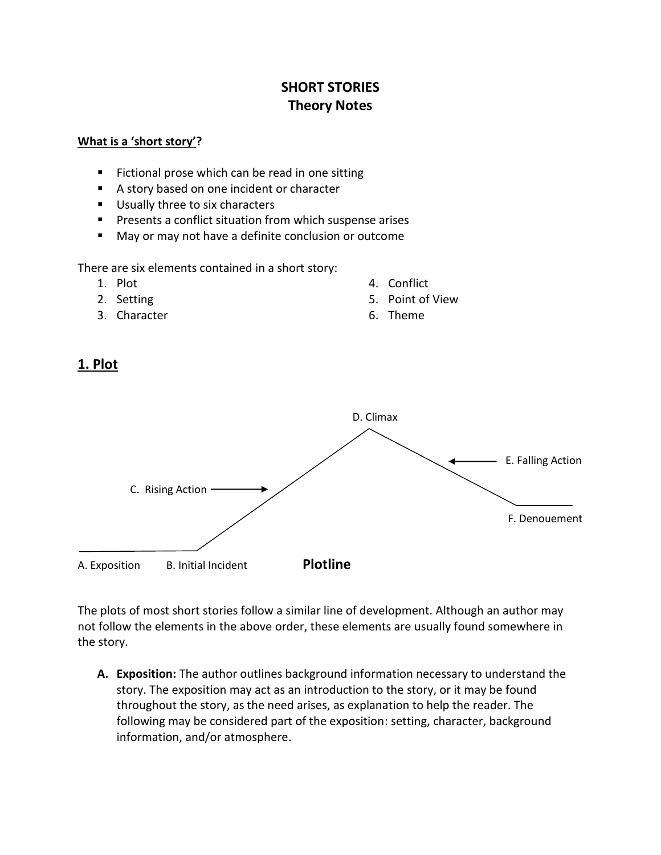# **SHORT STORIES Theory Notes**

#### **What is a 'short story'?**

- Fictional prose which can be read in one sitting
- A story based on one incident or character
- Usually three to six characters
- **Presents a conflict situation from which suspense arises**
- May or may not have a definite conclusion or outcome

There are six elements contained in a short story:

- 1. Plot
- 2. Setting
- 3. Character
- 4. Conflict
- 5. Point of View
- 6. Theme





The plots of most short stories follow a similar line of development. Although an author may not follow the elements in the above order, these elements are usually found somewhere in the story.

**A. Exposition:** The author outlines background information necessary to understand the story. The exposition may act as an introduction to the story, or it may be found throughout the story, as the need arises, as explanation to help the reader. The following may be considered part of the exposition: setting, character, background information, and/or atmosphere.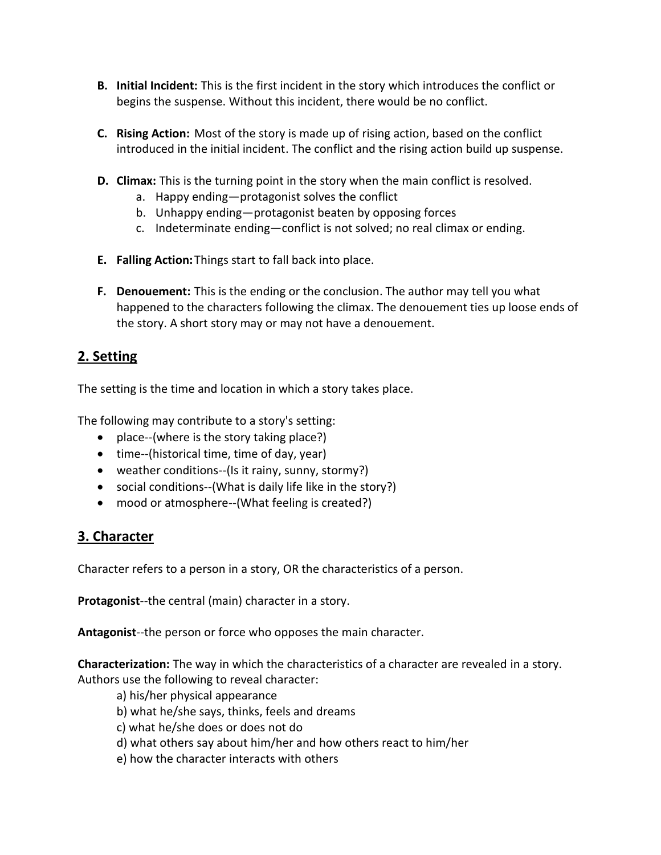- **B. Initial Incident:** This is the first incident in the story which introduces the conflict or begins the suspense. Without this incident, there would be no conflict.
- **C. Rising Action:** Most of the story is made up of rising action, based on the conflict introduced in the initial incident. The conflict and the rising action build up suspense.
- **D. Climax:** This is the turning point in the story when the main conflict is resolved.
	- a. Happy ending—protagonist solves the conflict
	- b. Unhappy ending—protagonist beaten by opposing forces
	- c. Indeterminate ending—conflict is not solved; no real climax or ending.
- **E. Falling Action:**Things start to fall back into place.
- **F. Denouement:** This is the ending or the conclusion. The author may tell you what happened to the characters following the climax. The denouement ties up loose ends of the story. A short story may or may not have a denouement.

# **2. Setting**

The setting is the time and location in which a story takes place.

The following may contribute to a story's setting:

- place--(where is the story taking place?)
- $\bullet$  time--(historical time, time of day, year)
- weather conditions--(Is it rainy, sunny, stormy?)
- social conditions--(What is daily life like in the story?)
- mood or atmosphere--(What feeling is created?)

# **3. Character**

Character refers to a person in a story, OR the characteristics of a person.

**Protagonist**--the central (main) character in a story.

**Antagonist**--the person or force who opposes the main character.

**Characterization:** The way in which the characteristics of a character are revealed in a story. Authors use the following to reveal character:

- a) his/her physical appearance
- b) what he/she says, thinks, feels and dreams
- c) what he/she does or does not do
- d) what others say about him/her and how others react to him/her
- e) how the character interacts with others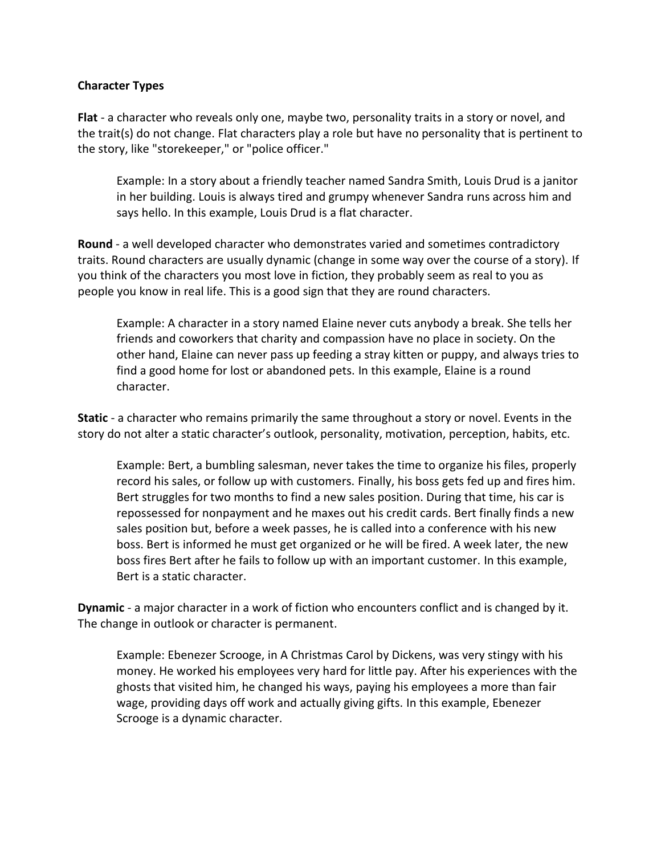#### **Character Types**

**Flat** - a character who reveals only one, maybe two, personality traits in a story or novel, and the trait(s) do not change. Flat characters play a role but have no personality that is pertinent to the story, like "storekeeper," or "police officer."

Example: In a story about a friendly teacher named Sandra Smith, Louis Drud is a janitor in her building. Louis is always tired and grumpy whenever Sandra runs across him and says hello. In this example, Louis Drud is a flat character.

**Round** - a well developed character who demonstrates varied and sometimes contradictory traits. Round characters are usually dynamic (change in some way over the course of a story). If you think of the characters you most love in fiction, they probably seem as real to you as people you know in real life. This is a good sign that they are round characters.

Example: A character in a story named Elaine never cuts anybody a break. She tells her friends and coworkers that charity and compassion have no place in society. On the other hand, Elaine can never pass up feeding a stray kitten or puppy, and always tries to find a good home for lost or abandoned pets. In this example, Elaine is a round character.

**Static** - a character who remains primarily the same throughout a story or novel. Events in the story do not alter a static character's outlook, personality, motivation, perception, habits, etc.

Example: Bert, a bumbling salesman, never takes the time to organize his files, properly record his sales, or follow up with customers. Finally, his boss gets fed up and fires him. Bert struggles for two months to find a new sales position. During that time, his car is repossessed for nonpayment and he maxes out his credit cards. Bert finally finds a new sales position but, before a week passes, he is called into a conference with his new boss. Bert is informed he must get organized or he will be fired. A week later, the new boss fires Bert after he fails to follow up with an important customer. In this example, Bert is a static character.

**Dynamic** - a major character in a work of fiction who encounters conflict and is changed by it. The change in outlook or character is permanent.

Example: Ebenezer Scrooge, in A Christmas Carol by Dickens, was very stingy with his money. He worked his employees very hard for little pay. After his experiences with the ghosts that visited him, he changed his ways, paying his employees a more than fair wage, providing days off work and actually giving gifts. In this example, Ebenezer Scrooge is a dynamic character.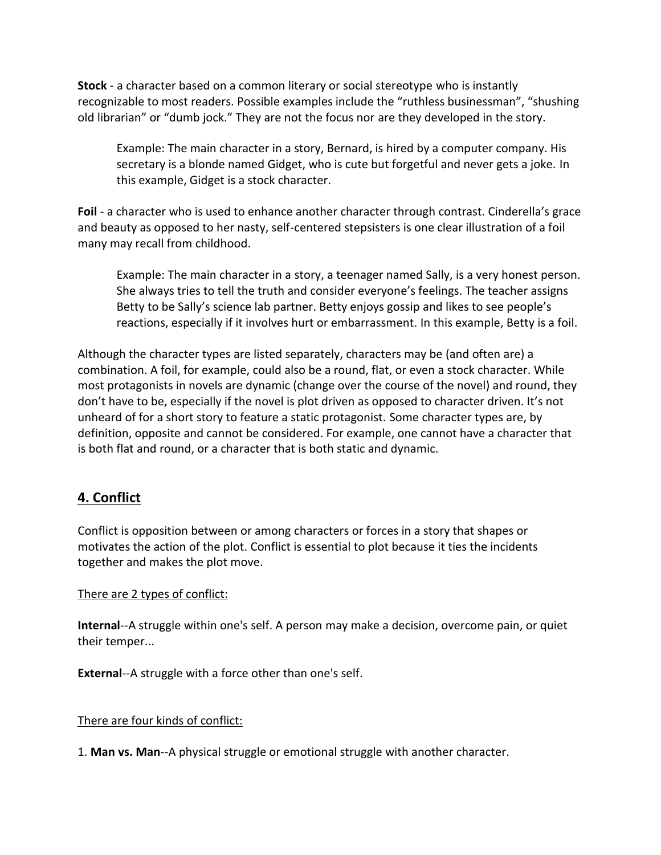**Stock** - a character based on a common literary or social stereotype who is instantly recognizable to most readers. Possible examples include the "ruthless businessman", "shushing old librarian" or "dumb jock." They are not the focus nor are they developed in the story.

Example: The main character in a story, Bernard, is hired by a computer company. His secretary is a blonde named Gidget, who is cute but forgetful and never gets a joke. In this example, Gidget is a stock character.

**Foil** - a character who is used to enhance another character through contrast. Cinderella's grace and beauty as opposed to her nasty, self-centered stepsisters is one clear illustration of a foil many may recall from childhood.

Example: The main character in a story, a teenager named Sally, is a very honest person. She always tries to tell the truth and consider everyone's feelings. The teacher assigns Betty to be Sally's science lab partner. Betty enjoys gossip and likes to see people's reactions, especially if it involves hurt or embarrassment. In this example, Betty is a foil.

Although the character types are listed separately, characters may be (and often are) a combination. A foil, for example, could also be a round, flat, or even a stock character. While most protagonists in novels are dynamic (change over the course of the novel) and round, they don't have to be, especially if the novel is plot driven as opposed to character driven. It's not unheard of for a short story to feature a static protagonist. Some character types are, by definition, opposite and cannot be considered. For example, one cannot have a character that is both flat and round, or a character that is both static and dynamic.

# **4. Conflict**

Conflict is opposition between or among characters or forces in a story that shapes or motivates the action of the plot. Conflict is essential to plot because it ties the incidents together and makes the plot move.

#### There are 2 types of conflict:

**Internal**--A struggle within one's self. A person may make a decision, overcome pain, or quiet their temper...

**External**--A struggle with a force other than one's self.

#### There are four kinds of conflict:

1. **Man vs. Man**--A physical struggle or emotional struggle with another character.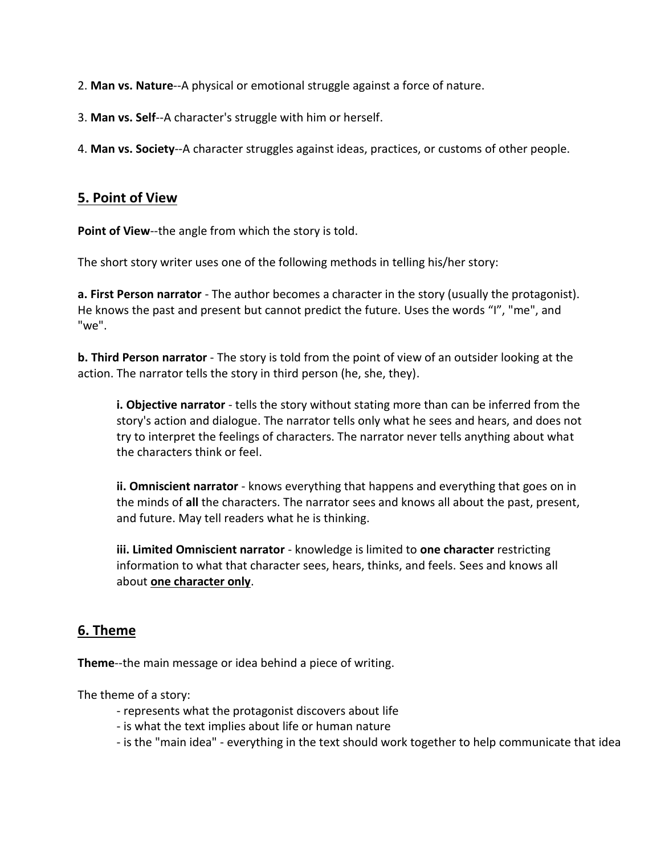- 2. **Man vs. Nature**--A physical or emotional struggle against a force of nature.
- 3. **Man vs. Self**--A character's struggle with him or herself.

4. **Man vs. Society**--A character struggles against ideas, practices, or customs of other people.

### **5. Point of View**

Point of View--the angle from which the story is told.

The short story writer uses one of the following methods in telling his/her story:

**a. First Person narrator** - The author becomes a character in the story (usually the protagonist). He knows the past and present but cannot predict the future. Uses the words "I", "me", and "we".

**b. Third Person narrator** - The story is told from the point of view of an outsider looking at the action. The narrator tells the story in third person (he, she, they).

**i. Objective narrator** - tells the story without stating more than can be inferred from the story's action and dialogue. The narrator tells only what he sees and hears, and does not try to interpret the feelings of characters. The narrator never tells anything about what the characters think or feel.

**ii. Omniscient narrator** - knows everything that happens and everything that goes on in the minds of **all** the characters. The narrator sees and knows all about the past, present, and future. May tell readers what he is thinking.

**iii. Limited Omniscient narrator** - knowledge is limited to **one character** restricting information to what that character sees, hears, thinks, and feels. Sees and knows all about **one character only**.

### **6. Theme**

**Theme**--the main message or idea behind a piece of writing.

The theme of a story:

- represents what the protagonist discovers about life
- is what the text implies about life or human nature
- is the "main idea" everything in the text should work together to help communicate that idea